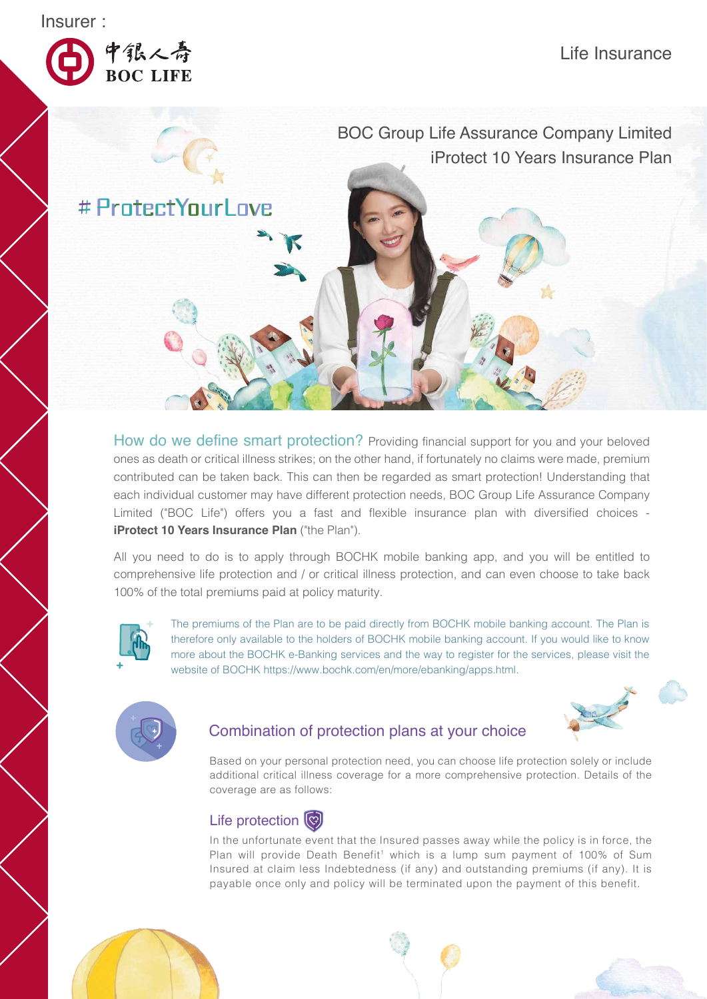Insurer :



中银人寿<br>BOC LIFE

BOC Group Life Assurance Company Limited iProtect 10 Years Insurance Plan

**# ProtectYourLove** 

How do we define smart protection? Providing financial support for you and your beloved ones as death or critical illness strikes; on the other hand, if fortunately no claims were made, premium contributed can be taken back. This can then be regarded as smart protection! Understanding that each individual customer may have different protection needs, BOC Group Life Assurance Company Limited ("BOC Life") offers you a fast and flexible insurance plan with diversified choices **iProtect 10 Years Insurance Plan** ("the Plan").

All you need to do is to apply through BOCHK mobile banking app, and you will be entitled to comprehensive life protection and / or critical illness protection, and can even choose to take back 100% of the total premiums paid at policy maturity.



The premiums of the Plan are to be paid directly from BOCHK mobile banking account. The Plan is therefore only available to the holders of BOCHK mobile banking account. If you would like to know more about the BOCHK e-Banking services and the way to register for the services, please visit the website of BOCHK https://www.bochk.com/en/more/ebanking/apps.html.



## Combination of protection plans at your choice



Based on your personal protection need, you can choose life protection solely or include additional critical illness coverage for a more comprehensive protection. Details of the coverage are as follows:

## Life protection (

In the unfortunate event that the Insured passes away while the policy is in force, the Plan will provide Death Benefit<sup>1</sup> which is a lump sum payment of 100% of Sum Insured at claim less Indebtedness (if any) and outstanding premiums (if any). It is payable once only and policy will be terminated upon the payment of this benefit.



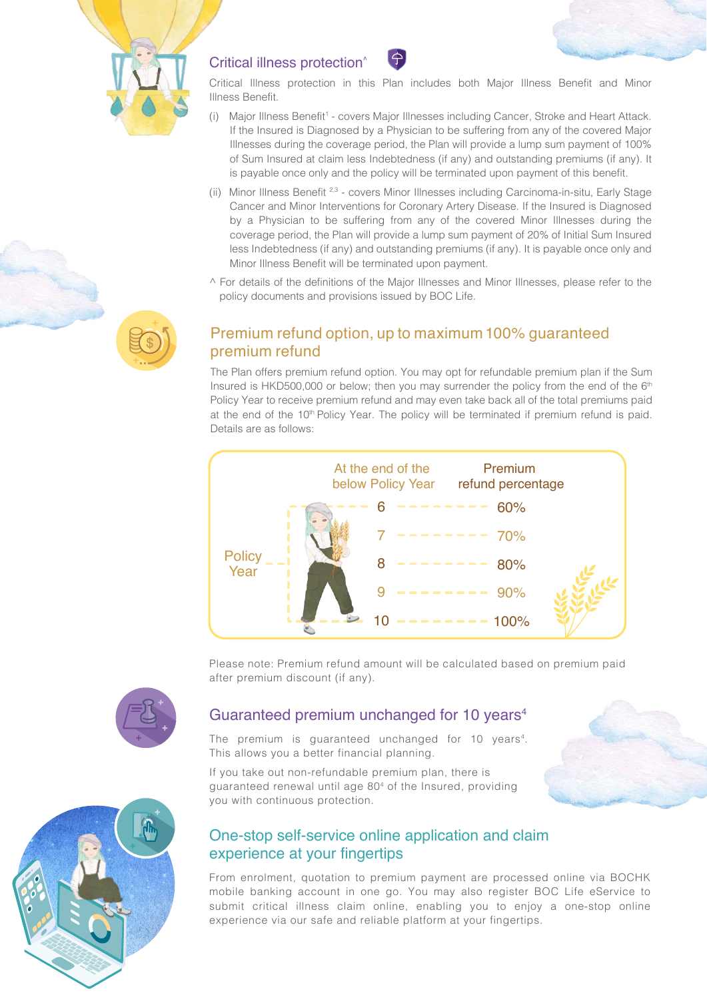

## Critical illness protection^

Critical Illness protection in this Plan includes both Major Illness Benefit and Minor Illness Benefit.

- (i) Major Illness Benefit<sup>1</sup> covers Major Illnesses including Cancer, Stroke and Heart Attack. If the Insured is Diagnosed by a Physician to be suffering from any of the covered Major Illnesses during the coverage period, the Plan will provide a lump sum payment of 100% of Sum Insured at claim less Indebtedness (if any) and outstanding premiums (if any). It is payable once only and the policy will be terminated upon payment of this benefit.
- (ii) Minor Illness Benefit 2,3 covers Minor Illnesses including Carcinoma-in-situ, Early Stage Cancer and Minor Interventions for Coronary Artery Disease. If the Insured is Diagnosed by a Physician to be suffering from any of the covered Minor Illnesses during the coverage period, the Plan will provide a lump sum payment of 20% of Initial Sum Insured less Indebtedness (if any) and outstanding premiums (if any). It is payable once only and Minor Illness Benefit will be terminated upon payment.
- $\wedge$  For details of the definitions of the Major Illnesses and Minor Illnesses, please refer to the policy documents and provisions issued by BOC Life.

## Premium refund option, up to maximum 100% guaranteed premium refund

The Plan offers premium refund option. You may opt for refundable premium plan if the Sum Insured is HKD500,000 or below; then you may surrender the policy from the end of the  $6<sup>th</sup>$ Policy Year to receive premium refund and may even take back all of the total premiums paid at the end of the  $10<sup>th</sup>$  Policy Year. The policy will be terminated if premium refund is paid. Details are as follows:



Please note: Premium refund amount will be calculated based on premium paid after premium discount (if any).

## Guaranteed premium unchanged for 10 years<sup>4</sup>

The premium is quaranteed unchanged for 10 years<sup>4</sup>. This allows you a better financial planning.

If you take out non-refundable premium plan, there is guaranteed renewal until age 804 of the Insured, providing you with continuous protection.

## One-stop self-service online application and claim experience at your fingertips

From enrolment, quotation to premium payment are processed online via BOCHK mobile banking account in one go. You may also register BOC Life eService to submit critical illness claim online, enabling you to enjoy a one-stop online experience via our safe and reliable platform at your fingertips.

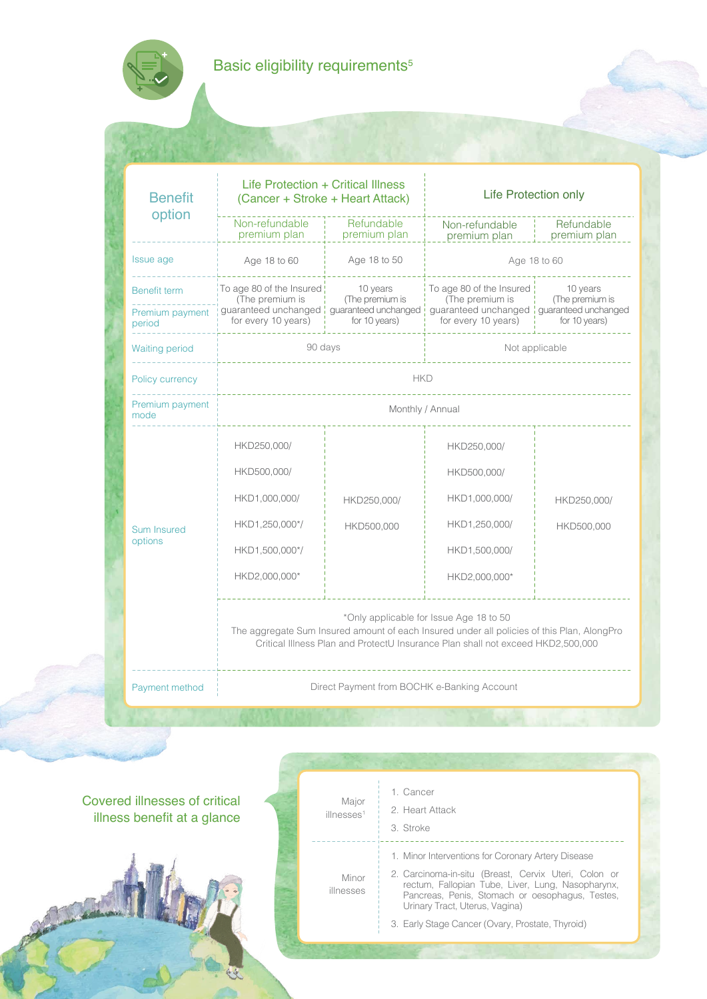# Basic eligibility requirements<sup>5</sup>

| <b>Benefit</b><br>option      | Life Protection + Critical Illness<br>(Cancer + Stroke + Heart Attack) |                                             | Life Protection only                                                                                                                                                                                                     |                             |  |  |
|-------------------------------|------------------------------------------------------------------------|---------------------------------------------|--------------------------------------------------------------------------------------------------------------------------------------------------------------------------------------------------------------------------|-----------------------------|--|--|
|                               | Non-refundable<br>premium plan                                         | Refundable<br>premium plan                  | Non-refundable<br>premium plan                                                                                                                                                                                           | Refundable<br>premium plan  |  |  |
| Issue age                     | Age 18 to 60                                                           | Age 18 to 50<br>Age 18 to 60                |                                                                                                                                                                                                                          |                             |  |  |
| Benefit term                  | To age 80 of the Insured !<br>(The premium is                          | 10 years<br>(The premium is                 | To age 80 of the Insured<br>(The premium is                                                                                                                                                                              | 10 years<br>(The premium is |  |  |
| Premium payment<br>period     | for every 10 years)                                                    | for 10 years)                               | guaranteed unchanged   guaranteed unchanged   guaranteed unchanged   guaranteed unchanged<br>for every 10 years)                                                                                                         | for 10 years)               |  |  |
| Waiting period                | 90 days                                                                |                                             | Not applicable                                                                                                                                                                                                           |                             |  |  |
| Policy currency               | <b>HKD</b>                                                             |                                             |                                                                                                                                                                                                                          |                             |  |  |
| Premium payment<br>mode       | Monthly / Annual                                                       |                                             |                                                                                                                                                                                                                          |                             |  |  |
|                               | HKD250,000/                                                            |                                             | HKD250,000/                                                                                                                                                                                                              |                             |  |  |
|                               | HKD500,000/                                                            |                                             | HKD500,000/                                                                                                                                                                                                              |                             |  |  |
|                               | HKD1,000,000/                                                          | HKD250,000/                                 | HKD1,000,000/                                                                                                                                                                                                            | HKD250,000/                 |  |  |
| <b>Sum Insured</b><br>options | HKD1,250,000*/                                                         | HKD500,000                                  | HKD1,250,000/                                                                                                                                                                                                            | HKD500,000                  |  |  |
|                               | HKD1,500,000*/                                                         |                                             | HKD1,500,000/                                                                                                                                                                                                            |                             |  |  |
|                               | HKD2,000,000*                                                          |                                             | HKD2,000,000*                                                                                                                                                                                                            |                             |  |  |
|                               |                                                                        |                                             | *Only applicable for Issue Age 18 to 50<br>The aggregate Sum Insured amount of each Insured under all policies of this Plan, AlongPro<br>Critical Illness Plan and ProtectU Insurance Plan shall not exceed HKD2,500,000 |                             |  |  |
| Payment method                |                                                                        | Direct Payment from BOCHK e-Banking Account |                                                                                                                                                                                                                          |                             |  |  |
|                               |                                                                        |                                             |                                                                                                                                                                                                                          |                             |  |  |

Covered illnesses of critical illness benefit at a glance

Stanley !

| Minor<br>illnesses | 1. Minor Interventions for Coronary Artery Disease<br>2. Carcinoma-in-situ (Breast, Cervix Uteri, Colon or<br>rectum, Fallopian Tube, Liver, Lung, Nasopharynx,<br>Pancreas, Penis, Stomach or oesophagus, Testes,<br>Urinary Tract, Uterus, Vagina) |
|--------------------|------------------------------------------------------------------------------------------------------------------------------------------------------------------------------------------------------------------------------------------------------|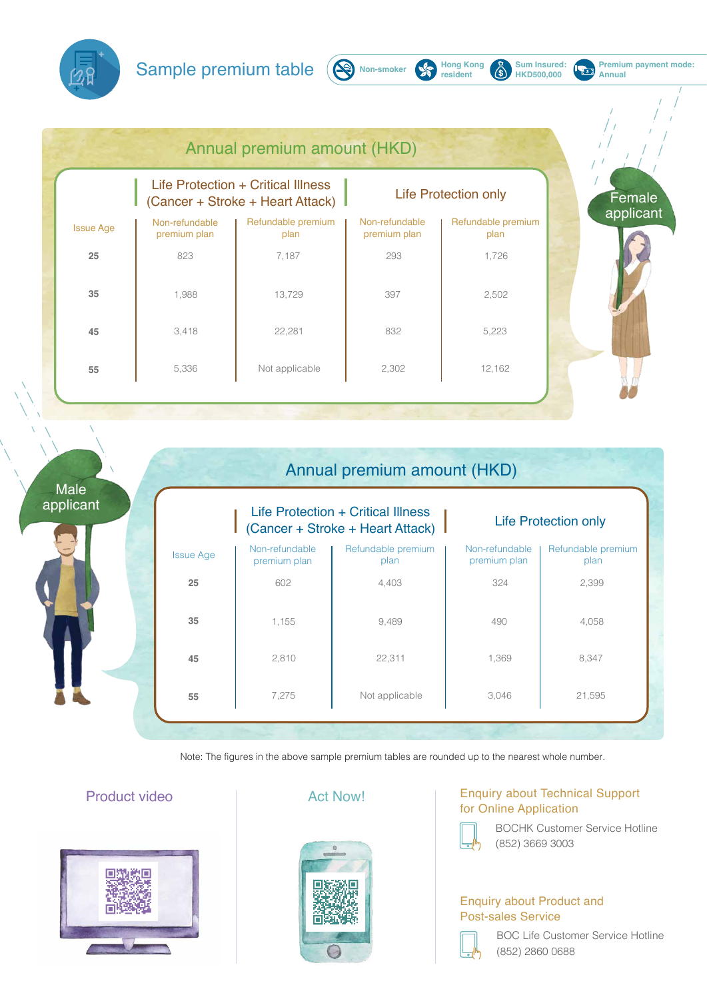Sample premium table ( $\bigotimes_{N$  Non-smoker  $\bigotimes_{resident}$  Hong Kong



**Hong Kong**<br>resident

 $\breve{\mathbb{G}}$ 

**Sum Insured: HKD500,000**

**Premium payment mode:**

**Annual**

E

|                  | Life Protection + Critical Illness<br>(Cancer + Stroke + Heart Attack) |                            | <b>Life Protection only</b>    |                            |
|------------------|------------------------------------------------------------------------|----------------------------|--------------------------------|----------------------------|
| <b>Issue Age</b> | Non-refundable<br>premium plan                                         | Refundable premium<br>plan | Non-refundable<br>premium plan | Refundable premium<br>plan |
| 25               | 602                                                                    | 4,403                      | 324                            | 2,399                      |
| 35               | 1,155                                                                  | 9,489                      | 490                            | 4,058                      |
| 45               | 2,810                                                                  | 22,311                     | 1,369                          | 8,347                      |
| 55               | 7,275                                                                  | Not applicable             | 3,046                          | 21,595                     |

Note: The figures in the above sample premium tables are rounded up to the nearest whole number.

## Product video **Act Now!**





### Enquiry about Technical Support for Online Application



 BOCHK Customer Service Hotline (852) 3669 3003

## Enquiry about Product and Post-sales Service



 BOC Life Customer Service Hotline (852) 2860 0688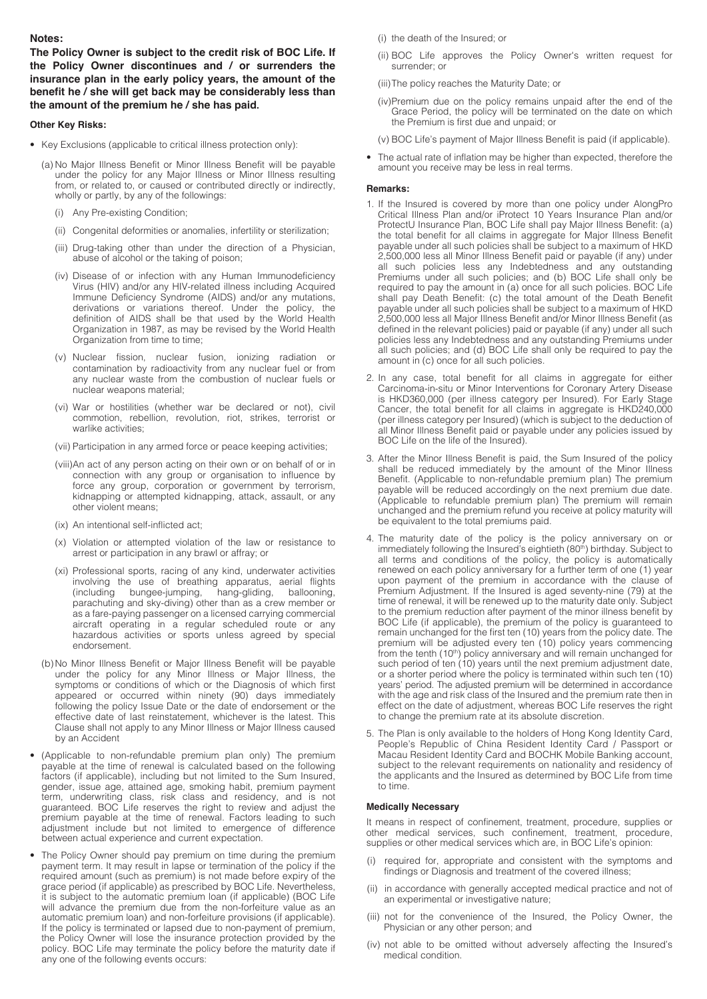#### **Notes:**

**The Policy Owner is subject to the credit risk of BOC Life. If the Policy Owner discontinues and / or surrenders the insurance plan in the early policy years, the amount of the benefit he / she will get back may be considerably less than the amount of the premium he / she has paid.**

#### **Other Key Risks:**

- Key Exclusions (applicable to critical illness protection only):
	- (a) No Major Illness Benefit or Minor Illness Benefit will be payable under the policy for any Major Illness or Minor Illness resulting from, or related to, or caused or contributed directly or indirectly, wholly or partly, by any of the followings:
		- (i) Any Pre-existing Condition;
		- (ii) Congenital deformities or anomalies, infertility or sterilization;
		- (iii) Drug-taking other than under the direction of a Physician, abuse of alcohol or the taking of poison;
		- (iv) Disease of or infection with any Human Immunodeficiency Virus (HIV) and/or any HIV-related illness including Acquired Immune Deficiency Syndrome (AIDS) and/or any mutations, derivations or variations thereof. Under the policy, the definition of AIDS shall be that used by the World Health Organization in 1987, as may be revised by the World Health Organization from time to time;
		- (v) Nuclear fission, nuclear fusion, ionizing radiation or contamination by radioactivity from any nuclear fuel or from any nuclear waste from the combustion of nuclear fuels or nuclear weapons material;
		- (vi) War or hostilities (whether war be declared or not), civil commotion, rebellion, revolution, riot, strikes, terrorist or warlike activities;
		- (vii) Participation in any armed force or peace keeping activities;
		- (viii) An act of any person acting on their own or on behalf of or in connection with any group or organisation to influence by force any group, corporation or government by terrorism, kidnapping or attempted kidnapping, attack, assault, or any other violent means;
		- (ix) An intentional self-inflicted act;
		- (x) Violation or attempted violation of the law or resistance to arrest or participation in any brawl or affray; or
		- (xi) Professional sports, racing of any kind, underwater activities involving the use of breathing apparatus, aerial flights (including bungee-jumping, hang-gliding, ballooning, bungee-jumping, parachuting and sky-diving) other than as a crew member or as a fare-paying passenger on a licensed carrying commercial aircraft operating in a regular scheduled route or any hazardous activities or sports unless agreed by special endorsement.
	- (b) No Minor Illness Benefit or Major Illness Benefit will be payable under the policy for any Minor Illness or Major Illness, the symptoms or conditions of which or the Diagnosis of which first appeared or occurred within ninety (90) days immediately following the policy Issue Date or the date of endorsement or the effective date of last reinstatement, whichever is the latest. This Clause shall not apply to any Minor Illness or Major Illness caused by an Accident
- (Applicable to non-refundable premium plan only) The premium payable at the time of renewal is calculated based on the following factors (if applicable), including but not limited to the Sum Insured, gender, issue age, attained age, smoking habit, premium payment term, underwriting class, risk class and residency, and is not guaranteed. BOC Life reserves the right to review and adjust the premium payable at the time of renewal. Factors leading to such adjustment include but not limited to emergence of difference between actual experience and current expectation.
- The Policy Owner should pay premium on time during the premium payment term. It may result in lapse or termination of the policy if the required amount (such as premium) is not made before expiry of the grace period (if applicable) as prescribed by BOC Life. Nevertheless, it is subject to the automatic premium loan (if applicable) (BOC Life will advance the premium due from the non-forfeiture value as an automatic premium loan) and non-forfeiture provisions (if applicable). If the policy is terminated or lapsed due to non-payment of premium, the Policy Owner will lose the insurance protection provided by the policy. BOC Life may terminate the policy before the maturity date if any one of the following events occurs:
- (i) the death of the Insured; or
- (ii) BOC Life approves the Policy Owner's written request for surrender; or
- (iii) The policy reaches the Maturity Date; or
- (iv) Premium due on the policy remains unpaid after the end of the Grace Period, the policy will be terminated on the date on which the Premium is first due and unpaid; or
- (v) BOC Life's payment of Major Illness Benefit is paid (if applicable).
- The actual rate of inflation may be higher than expected, therefore the amount you receive may be less in real terms.

#### **Remarks:**

- 1. If the Insured is covered by more than one policy under AlongPro Critical Illness Plan and/or iProtect 10 Years Insurance Plan and/or ProtectU Insurance Plan, BOC Life shall pay Major Illness Benefit: (a) the total benefit for all claims in aggregate for Major Illness Benefit payable under all such policies shall be subject to a maximum of HKD 2,500,000 less all Minor Illness Benefit paid or payable (if any) under all such policies less any Indebtedness and any outstanding Premiums under all such policies; and (b) BOC Life shall only be required to pay the amount in (a) once for all such policies. BOC Life shall pay Death Benefit: (c) the total amount of the Death Benefit payable under all such policies shall be subject to a maximum of HKD 2,500,000 less all Major Illness Benefit and/or Minor Illness Benefit (as defined in the relevant policies) paid or payable (if any) under all such policies less any Indebtedness and any outstanding Premiums under all such policies; and (d) BOC Life shall only be required to pay the amount in (c) once for all such policies.
- 2. In any case, total benefit for all claims in aggregate for either Carcinoma-in-situ or Minor Interventions for Coronary Artery Disease is HKD360,000 (per illness category per Insured). For Early Stage Cancer, the total benefit for all claims in aggregate is HKD240,000 (per illness category per Insured) (which is subject to the deduction of all Minor Illness Benefit paid or payable under any policies issued by BOC Life on the life of the Insured).
- 3. After the Minor Illness Benefit is paid, the Sum Insured of the policy shall be reduced immediately by the amount of the Minor Illness Benefit. (Applicable to non-refundable premium plan) The premium payable will be reduced accordingly on the next premium due date. (Applicable to refundable premium plan) The premium will remain unchanged and the premium refund you receive at policy maturity will be equivalent to the total premiums paid.
- 4. The maturity date of the policy is the policy anniversary on or immediately following the Insured's eightieth (80<sup>th</sup>) birthday. Subject to all terms and conditions of the policy, the policy is automatically renewed on each policy anniversary for a further term of one (1) year upon payment of the premium in accordance with the clause of Premium Adjustment. If the Insured is aged seventy-nine (79) at the time of renewal, it will be renewed up to the maturity date only. Subject to the premium reduction after payment of the minor illness benefit by BOC Life (if applicable), the premium of the policy is guaranteed to remain unchanged for the first ten (10) years from the policy date. The premium will be adjusted every ten (10) policy years commencing from the tenth (10<sup>th</sup>) policy anniversary and will remain unchanged for such period of ten (10) years until the next premium adjustment date, or a shorter period where the policy is terminated within such ten (10) years' period. The adjusted premium will be determined in accordance with the age and risk class of the Insured and the premium rate then in effect on the date of adjustment, whereas BOC Life reserves the right to change the premium rate at its absolute discretion.
- 5. The Plan is only available to the holders of Hong Kong Identity Card, People's Republic of China Resident Identity Card / Passport or Macau Resident Identity Card and BOCHK Mobile Banking account, subject to the relevant requirements on nationality and residency of the applicants and the Insured as determined by BOC Life from time to time.

#### **Medically Necessary**

It means in respect of confinement, treatment, procedure, supplies or other medical services, such confinement, treatment, procedure, supplies or other medical services which are, in BOC Life's opinion:

- (i) required for, appropriate and consistent with the symptoms and findings or Diagnosis and treatment of the covered illness;
- (ii) in accordance with generally accepted medical practice and not of an experimental or investigative nature;
- (iii) not for the convenience of the Insured, the Policy Owner, the Physician or any other person; and
- (iv) not able to be omitted without adversely affecting the Insured's medical condition.